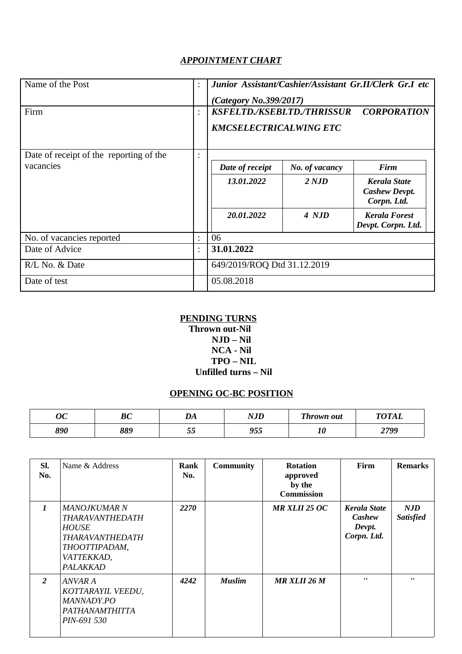## *APPOINTMENT CHART*

| Name of the Post                        | $\ddot{\cdot}$ | Junior Assistant/Cashier/Assistant Gr.II/Clerk Gr.I etc<br>(Category No.399/2017)        |                |                                                            |  |  |
|-----------------------------------------|----------------|------------------------------------------------------------------------------------------|----------------|------------------------------------------------------------|--|--|
| Firm                                    | ÷              | <b>KSFELTD./KSEBLTD./THRISSUR</b><br><b>CORPORATION</b><br><b>KMCSELECTRICALWING ETC</b> |                |                                                            |  |  |
| Date of receipt of the reporting of the | $\ddot{\cdot}$ |                                                                                          |                |                                                            |  |  |
| vacancies                               |                | Date of receipt                                                                          | No. of vacancy | Firm                                                       |  |  |
|                                         |                | 13.01.2022                                                                               | 2 NJD          | <b>Kerala State</b><br><b>Cashew Devpt.</b><br>Corpn. Ltd. |  |  |
|                                         |                | 20.01.2022                                                                               | 4 NJD          | <b>Kerala Forest</b>                                       |  |  |
|                                         |                |                                                                                          |                | Devpt. Corpn. Ltd.                                         |  |  |
| No. of vacancies reported               | $\ddot{\cdot}$ | 06                                                                                       |                |                                                            |  |  |
| Date of Advice                          | $\ddot{\cdot}$ | 31.01.2022                                                                               |                |                                                            |  |  |
| R/L No. & Date                          |                | 649/2019/ROQ Dtd 31.12.2019                                                              |                |                                                            |  |  |
| Date of test                            |                | 05.08.2018                                                                               |                |                                                            |  |  |

## **PENDING TURNS**

## **Thrown out-Nil NJD – Nil NCA - Nil TPO – NIL Unfilled turns – Nil**

# **OPENING OC-BC POSITION**

| n n<br>vu | $\mathbf{D}$<br>υv | <b>DA</b><br>DА   | NI TD<br>11J L | <b>Thrown out</b> | <b>TOTAL</b> |
|-----------|--------------------|-------------------|----------------|-------------------|--------------|
| 890       | 889                | $ -$<br>- -<br>ບບ | 955            | ΨU                | 2799         |

| SI.<br>No.   | Name & Address                                                                                                              | Rank<br>No. | <b>Community</b> | <b>Rotation</b><br>approved<br>by the<br><b>Commission</b> | Firm                                                   | <b>Remarks</b>          |
|--------------|-----------------------------------------------------------------------------------------------------------------------------|-------------|------------------|------------------------------------------------------------|--------------------------------------------------------|-------------------------|
| $\mathbf{1}$ | <b>MANOJKUMAR N</b><br>THARAVANTHEDATH<br><b>HOUSE</b><br>THARAVANTHEDATH<br>THOOTTIPADAM,<br>VATTEKKAD,<br><b>PALAKKAD</b> | 2270        |                  | <b>MR XLII 25 OC</b>                                       | <b>Kerala State</b><br>Cashew<br>Devpt.<br>Corpn. Ltd. | NJD<br><b>Satisfied</b> |
| 2            | ANVAR A<br>KOTTARAYIL VEEDU,<br>MANNADY.PO<br>PATHANAMTHITTA<br>PIN-691 530                                                 | 4242        | <b>Muslim</b>    | <b>MR XLII 26 M</b>                                        | $\mathbf{r}$                                           | $\mathbf{r}$            |